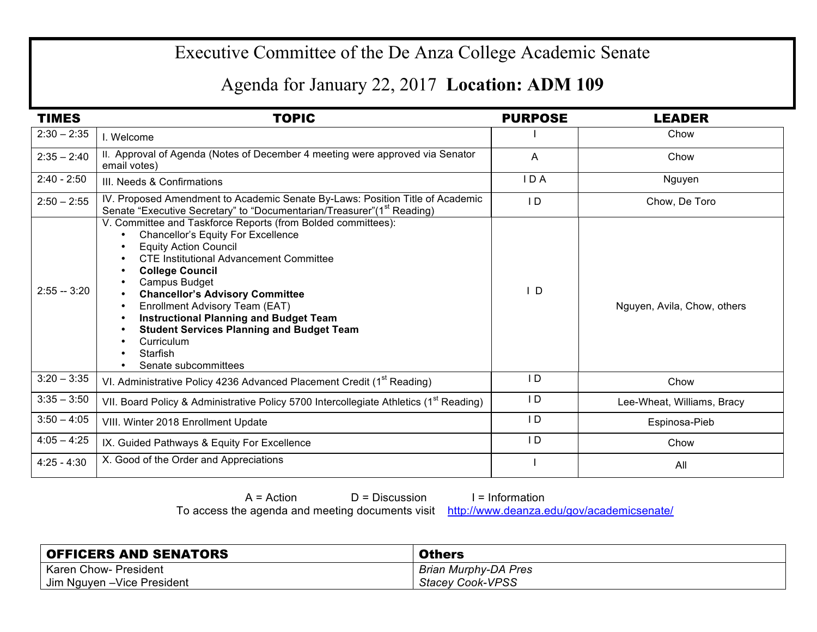## Executive Committee of the De Anza College Academic Senate

## Agenda for January 22, 2017 **Location: ADM 109**

| <b>TIMES</b>  | <b>TOPIC</b>                                                                                                                                                                                                                                                                                                                                                                                                                                                       | <b>PURPOSE</b> | <b>LEADER</b>               |
|---------------|--------------------------------------------------------------------------------------------------------------------------------------------------------------------------------------------------------------------------------------------------------------------------------------------------------------------------------------------------------------------------------------------------------------------------------------------------------------------|----------------|-----------------------------|
| $2:30 - 2:35$ | I. Welcome                                                                                                                                                                                                                                                                                                                                                                                                                                                         |                | Chow                        |
| $2:35 - 2:40$ | II. Approval of Agenda (Notes of December 4 meeting were approved via Senator<br>email votes)                                                                                                                                                                                                                                                                                                                                                                      | A              | Chow                        |
| $2:40 - 2:50$ | III. Needs & Confirmations                                                                                                                                                                                                                                                                                                                                                                                                                                         | IDA            | Nguyen                      |
| $2:50 - 2:55$ | IV. Proposed Amendment to Academic Senate By-Laws: Position Title of Academic<br>Senate "Executive Secretary" to "Documentarian/Treasurer"(1 <sup>st</sup> Reading)                                                                                                                                                                                                                                                                                                | $\overline{D}$ | Chow, De Toro               |
| $2:55 - 3:20$ | V. Committee and Taskforce Reports (from Bolded committees):<br>Chancellor's Equity For Excellence<br><b>Equity Action Council</b><br><b>CTE Institutional Advancement Committee</b><br><b>College Council</b><br>Campus Budget<br><b>Chancellor's Advisory Committee</b><br>Enrollment Advisory Team (EAT)<br><b>Instructional Planning and Budget Team</b><br><b>Student Services Planning and Budget Team</b><br>Curriculum<br>Starfish<br>Senate subcommittees | $\mathsf{I}$ D | Nguyen, Avila, Chow, others |
| $3:20 - 3:35$ | VI. Administrative Policy 4236 Advanced Placement Credit (1 <sup>st</sup> Reading)                                                                                                                                                                                                                                                                                                                                                                                 | ID             | Chow                        |
| $3:35 - 3:50$ | VII. Board Policy & Administrative Policy 5700 Intercollegiate Athletics (1 <sup>st</sup> Reading)                                                                                                                                                                                                                                                                                                                                                                 | $\overline{D}$ | Lee-Wheat, Williams, Bracy  |
| $3:50 - 4:05$ | VIII. Winter 2018 Enrollment Update                                                                                                                                                                                                                                                                                                                                                                                                                                | $\overline{D}$ | Espinosa-Pieb               |
| $4:05 - 4:25$ | IX. Guided Pathways & Equity For Excellence                                                                                                                                                                                                                                                                                                                                                                                                                        | $\overline{D}$ | Chow                        |
| $4:25 - 4:30$ | X. Good of the Order and Appreciations                                                                                                                                                                                                                                                                                                                                                                                                                             |                | All                         |

 $A = Action$   $D = Discussion$  I = Information

To access the agenda and meeting documents visit http://www.deanza.edu/gov/academicsenate/

| <b>OFFICERS AND SENATORS</b> | <b>Others</b>               |
|------------------------------|-----------------------------|
| <b>Karen Chow- President</b> | <b>Brian Murphy-DA Pres</b> |
| Jim Nguyen - Vice President  | <b>Stacey Cook-VPSS</b>     |